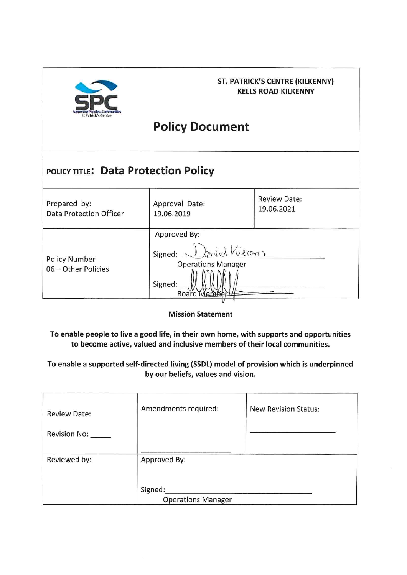

### **ST. PATRICK'S CENTRE (KILKENNY) KELLS ROAD KILKENNY**

# **Policy Document**

## POLICY TITLE: Data Protection Policy

| Prepared by:                                | Approval Date:                                                                                      | <b>Review Date:</b> |
|---------------------------------------------|-----------------------------------------------------------------------------------------------------|---------------------|
| <b>Data Protection Officer</b>              | 19.06.2019                                                                                          | 19.06.2021          |
| <b>Policy Number</b><br>06 - Other Policies | Approved By:<br>1) Insid Vieran<br>Signed:<br><b>Operations Manager</b><br>Signed:<br><b>Lember</b> |                     |

**Mission Statement** 

To enable people to live a good life, in their own home, with supports and opportunities to become active, valued and inclusive members of their local communities.

To enable a supported self-directed living (SSDL) model of provision which is underpinned by our beliefs, values and vision.

| <b>Review Date:</b><br>Revision No: | Amendments required:                 | <b>New Revision Status:</b> |
|-------------------------------------|--------------------------------------|-----------------------------|
| Reviewed by:                        | Approved By:                         |                             |
|                                     |                                      |                             |
|                                     | Signed:<br><b>Operations Manager</b> |                             |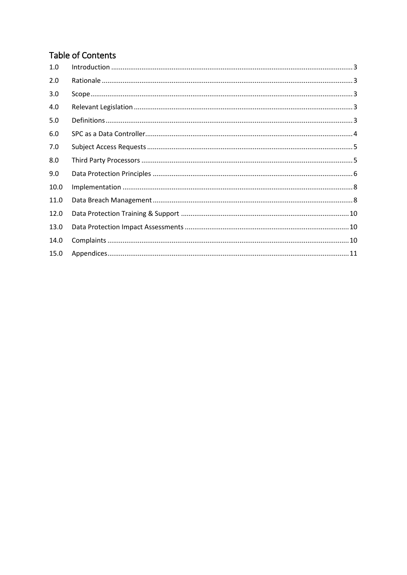## **Table of Contents**

| 1.0  |  |
|------|--|
| 2.0  |  |
| 3.0  |  |
| 4.0  |  |
| 5.0  |  |
| 6.0  |  |
| 7.0  |  |
| 8.0  |  |
| 9.0  |  |
| 10.0 |  |
| 11.0 |  |
| 12.0 |  |
| 13.0 |  |
| 14.0 |  |
| 15.0 |  |
|      |  |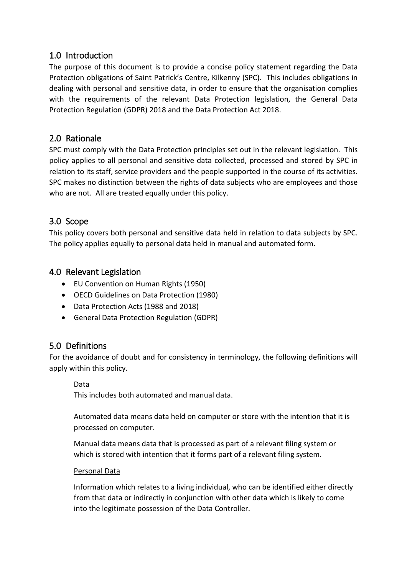### <span id="page-2-0"></span>1.0 Introduction

The purpose of this document is to provide a concise policy statement regarding the Data Protection obligations of Saint Patrick's Centre, Kilkenny (SPC). This includes obligations in dealing with personal and sensitive data, in order to ensure that the organisation complies with the requirements of the relevant Data Protection legislation, the General Data Protection Regulation (GDPR) 2018 and the Data Protection Act 2018.

### <span id="page-2-1"></span>2.0 Rationale

SPC must comply with the Data Protection principles set out in the relevant legislation. This policy applies to all personal and sensitive data collected, processed and stored by SPC in relation to its staff, service providers and the people supported in the course of its activities. SPC makes no distinction between the rights of data subjects who are employees and those who are not. All are treated equally under this policy.

### <span id="page-2-2"></span>3.0 Scope

This policy covers both personal and sensitive data held in relation to data subjects by SPC. The policy applies equally to personal data held in manual and automated form.

### <span id="page-2-3"></span>4.0 Relevant Legislation

- EU Convention on Human Rights (1950)
- OECD Guidelines on Data Protection (1980)
- Data Protection Acts (1988 and 2018)
- <span id="page-2-4"></span>• General Data Protection Regulation (GDPR)

### 5.0 Definitions

For the avoidance of doubt and for consistency in terminology, the following definitions will apply within this policy.

### Data

This includes both automated and manual data.

Automated data means data held on computer or store with the intention that it is processed on computer.

Manual data means data that is processed as part of a relevant filing system or which is stored with intention that it forms part of a relevant filing system.

#### Personal Data

Information which relates to a living individual, who can be identified either directly from that data or indirectly in conjunction with other data which is likely to come into the legitimate possession of the Data Controller.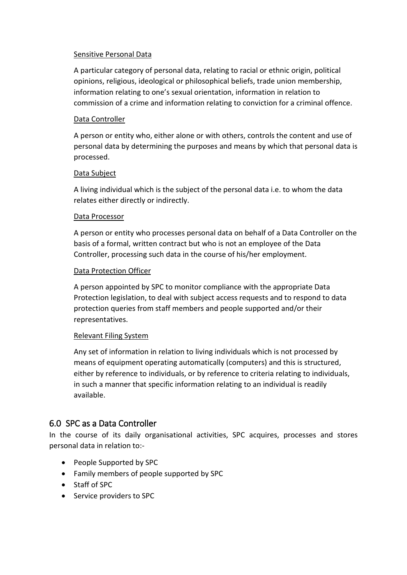#### Sensitive Personal Data

A particular category of personal data, relating to racial or ethnic origin, political opinions, religious, ideological or philosophical beliefs, trade union membership, information relating to one's sexual orientation, information in relation to commission of a crime and information relating to conviction for a criminal offence.

#### Data Controller

A person or entity who, either alone or with others, controls the content and use of personal data by determining the purposes and means by which that personal data is processed.

#### Data Subject

A living individual which is the subject of the personal data i.e. to whom the data relates either directly or indirectly.

#### Data Processor

A person or entity who processes personal data on behalf of a Data Controller on the basis of a formal, written contract but who is not an employee of the Data Controller, processing such data in the course of his/her employment.

#### Data Protection Officer

A person appointed by SPC to monitor compliance with the appropriate Data Protection legislation, to deal with subject access requests and to respond to data protection queries from staff members and people supported and/or their representatives.

#### Relevant Filing System

Any set of information in relation to living individuals which is not processed by means of equipment operating automatically (computers) and this is structured, either by reference to individuals, or by reference to criteria relating to individuals, in such a manner that specific information relating to an individual is readily available.

### <span id="page-3-0"></span>6.0 SPC as a Data Controller

In the course of its daily organisational activities, SPC acquires, processes and stores personal data in relation to:-

- People Supported by SPC
- Family members of people supported by SPC
- Staff of SPC
- Service providers to SPC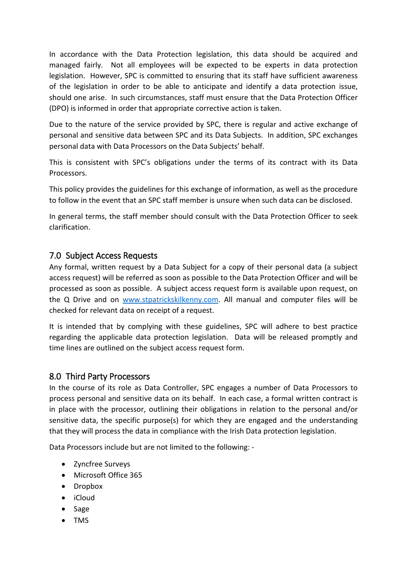In accordance with the Data Protection legislation, this data should be acquired and managed fairly. Not all employees will be expected to be experts in data protection legislation. However, SPC is committed to ensuring that its staff have sufficient awareness of the legislation in order to be able to anticipate and identify a data protection issue, should one arise. In such circumstances, staff must ensure that the Data Protection Officer (DPO) is informed in order that appropriate corrective action is taken.

Due to the nature of the service provided by SPC, there is regular and active exchange of personal and sensitive data between SPC and its Data Subjects. In addition, SPC exchanges personal data with Data Processors on the Data Subjects' behalf.

This is consistent with SPC's obligations under the terms of its contract with its Data Processors.

This policy provides the guidelines for this exchange of information, as well as the procedure to follow in the event that an SPC staff member is unsure when such data can be disclosed.

In general terms, the staff member should consult with the Data Protection Officer to seek clarification.

### <span id="page-4-0"></span>7.0 Subject Access Requests

Any formal, written request by a Data Subject for a copy of their personal data (a subject access request) will be referred as soon as possible to the Data Protection Officer and will be processed as soon as possible. A subject access request form is available upon request, on the Q Drive and on [www.stpatrickskilkenny.com.](http://www.stpatrickskilkenny.com/) All manual and computer files will be checked for relevant data on receipt of a request.

It is intended that by complying with these guidelines, SPC will adhere to best practice regarding the applicable data protection legislation. Data will be released promptly and time lines are outlined on the subject access request form.

### <span id="page-4-1"></span>8.0 Third Party Processors

In the course of its role as Data Controller, SPC engages a number of Data Processors to process personal and sensitive data on its behalf. In each case, a formal written contract is in place with the processor, outlining their obligations in relation to the personal and/or sensitive data, the specific purpose(s) for which they are engaged and the understanding that they will process the data in compliance with the Irish Data protection legislation.

Data Processors include but are not limited to the following: -

- Zyncfree Surveys
- Microsoft Office 365
- Dropbox
- iCloud
- Sage
- TMS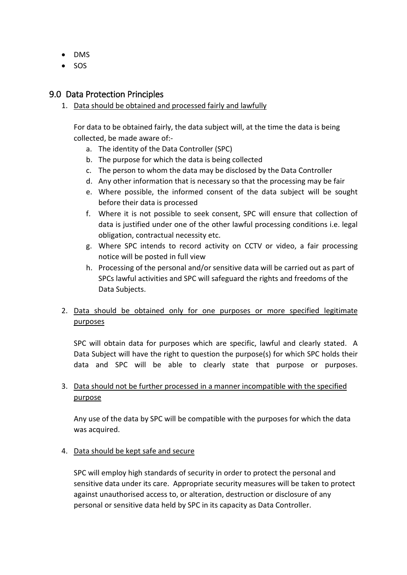- DMS
- <span id="page-5-0"></span>• SOS

#### 9.0 Data Protection Principles

1. Data should be obtained and processed fairly and lawfully

For data to be obtained fairly, the data subject will, at the time the data is being collected, be made aware of:-

- a. The identity of the Data Controller (SPC)
- b. The purpose for which the data is being collected
- c. The person to whom the data may be disclosed by the Data Controller
- d. Any other information that is necessary so that the processing may be fair
- e. Where possible, the informed consent of the data subject will be sought before their data is processed
- f. Where it is not possible to seek consent, SPC will ensure that collection of data is justified under one of the other lawful processing conditions i.e. legal obligation, contractual necessity etc.
- g. Where SPC intends to record activity on CCTV or video, a fair processing notice will be posted in full view
- h. Processing of the personal and/or sensitive data will be carried out as part of SPCs lawful activities and SPC will safeguard the rights and freedoms of the Data Subjects.

### 2. Data should be obtained only for one purposes or more specified legitimate purposes

SPC will obtain data for purposes which are specific, lawful and clearly stated. A Data Subject will have the right to question the purpose(s) for which SPC holds their data and SPC will be able to clearly state that purpose or purposes.

#### 3. Data should not be further processed in a manner incompatible with the specified purpose

Any use of the data by SPC will be compatible with the purposes for which the data was acquired.

#### 4. Data should be kept safe and secure

SPC will employ high standards of security in order to protect the personal and sensitive data under its care. Appropriate security measures will be taken to protect against unauthorised access to, or alteration, destruction or disclosure of any personal or sensitive data held by SPC in its capacity as Data Controller.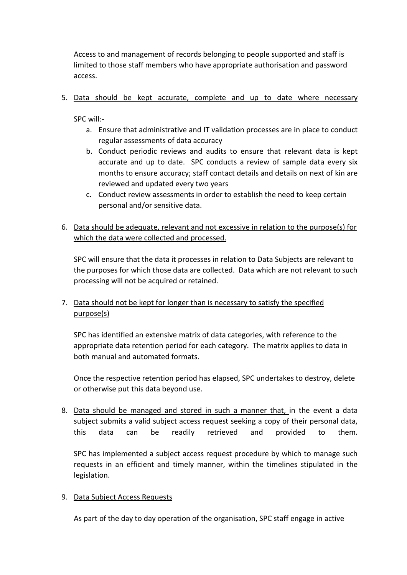Access to and management of records belonging to people supported and staff is limited to those staff members who have appropriate authorisation and password access.

5. Data should be kept accurate, complete and up to date where necessary

SPC will:-

- a. Ensure that administrative and IT validation processes are in place to conduct regular assessments of data accuracy
- b. Conduct periodic reviews and audits to ensure that relevant data is kept accurate and up to date. SPC conducts a review of sample data every six months to ensure accuracy; staff contact details and details on next of kin are reviewed and updated every two years
- c. Conduct review assessments in order to establish the need to keep certain personal and/or sensitive data.
- 6. Data should be adequate, relevant and not excessive in relation to the purpose(s) for which the data were collected and processed.

SPC will ensure that the data it processes in relation to Data Subjects are relevant to the purposes for which those data are collected. Data which are not relevant to such processing will not be acquired or retained.

### 7. Data should not be kept for longer than is necessary to satisfy the specified purpose(s)

SPC has identified an extensive matrix of data categories, with reference to the appropriate data retention period for each category. The matrix applies to data in both manual and automated formats.

Once the respective retention period has elapsed, SPC undertakes to destroy, delete or otherwise put this data beyond use.

8. Data should be managed and stored in such a manner that, in the event a data subject submits a valid subject access request seeking a copy of their personal data, this data can be readily retrieved and provided to them.

SPC has implemented a subject access request procedure by which to manage such requests in an efficient and timely manner, within the timelines stipulated in the legislation.

#### 9. Data Subject Access Requests

As part of the day to day operation of the organisation, SPC staff engage in active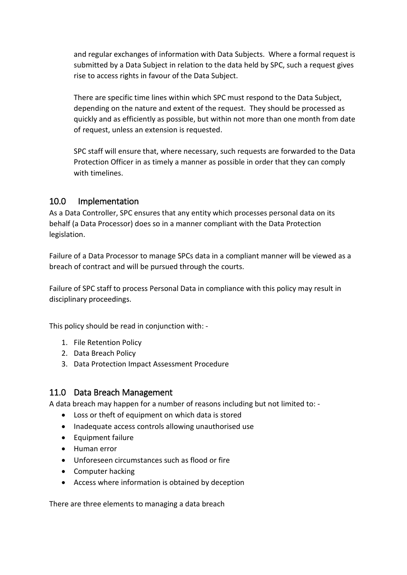and regular exchanges of information with Data Subjects. Where a formal request is submitted by a Data Subject in relation to the data held by SPC, such a request gives rise to access rights in favour of the Data Subject.

There are specific time lines within which SPC must respond to the Data Subject, depending on the nature and extent of the request. They should be processed as quickly and as efficiently as possible, but within not more than one month from date of request, unless an extension is requested.

SPC staff will ensure that, where necessary, such requests are forwarded to the Data Protection Officer in as timely a manner as possible in order that they can comply with timelines.

### <span id="page-7-0"></span>10.0 Implementation

As a Data Controller, SPC ensures that any entity which processes personal data on its behalf (a Data Processor) does so in a manner compliant with the Data Protection legislation.

Failure of a Data Processor to manage SPCs data in a compliant manner will be viewed as a breach of contract and will be pursued through the courts.

Failure of SPC staff to process Personal Data in compliance with this policy may result in disciplinary proceedings.

This policy should be read in conjunction with: -

- 1. File Retention Policy
- 2. Data Breach Policy
- 3. Data Protection Impact Assessment Procedure

### <span id="page-7-1"></span>11.0 Data Breach Management

A data breach may happen for a number of reasons including but not limited to: -

- Loss or theft of equipment on which data is stored
- Inadequate access controls allowing unauthorised use
- Equipment failure
- Human error
- Unforeseen circumstances such as flood or fire
- Computer hacking
- Access where information is obtained by deception

There are three elements to managing a data breach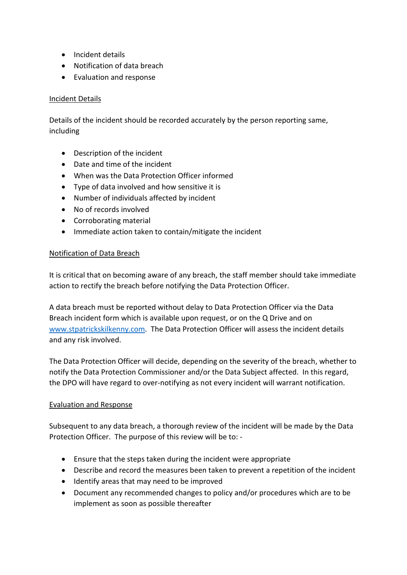- Incident details
- Notification of data breach
- Evaluation and response

#### Incident Details

Details of the incident should be recorded accurately by the person reporting same, including

- Description of the incident
- Date and time of the incident
- When was the Data Protection Officer informed
- Type of data involved and how sensitive it is
- Number of individuals affected by incident
- No of records involved
- Corroborating material
- Immediate action taken to contain/mitigate the incident

#### Notification of Data Breach

It is critical that on becoming aware of any breach, the staff member should take immediate action to rectify the breach before notifying the Data Protection Officer.

A data breach must be reported without delay to Data Protection Officer via the Data Breach incident form which is available upon request, or on the Q Drive and on [www.stpatrickskilkenny.com.](http://www.stpatrickskilkenny.com/) The Data Protection Officer will assess the incident details and any risk involved.

The Data Protection Officer will decide, depending on the severity of the breach, whether to notify the Data Protection Commissioner and/or the Data Subject affected. In this regard, the DPO will have regard to over-notifying as not every incident will warrant notification.

### Evaluation and Response

Subsequent to any data breach, a thorough review of the incident will be made by the Data Protection Officer. The purpose of this review will be to: -

- Ensure that the steps taken during the incident were appropriate
- Describe and record the measures been taken to prevent a repetition of the incident
- Identify areas that may need to be improved
- Document any recommended changes to policy and/or procedures which are to be implement as soon as possible thereafter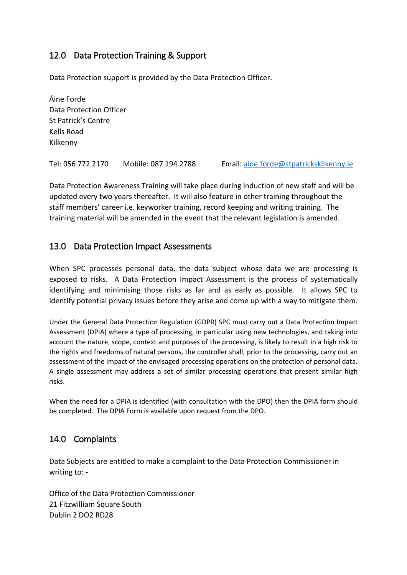### <span id="page-9-0"></span>12.0 Data Protection Training & Support

Data Protection support is provided by the Data Protection Officer.

Áine Forde Data Protection Officer St Patrick's Centre Kells Road Kilkenny

Tel: 056 772 2170 Mobile: 087 194 2788 Email: [aine.forde@stpatrickskilkenny.ie](mailto:aine.forde@stpatrickskilkenny.ie)

Data Protection Awareness Training will take place during induction of new staff and will be updated every two years thereafter. It will also feature in other training throughout the staff members' career i.e. keyworker training, record keeping and writing training. The training material will be amended in the event that the relevant legislation is amended.

### <span id="page-9-1"></span>13.0 Data Protection Impact Assessments

When SPC processes personal data, the data subject whose data we are processing is exposed to risks. A Data Protection Impact Assessment is the process of systematically identifying and minimising those risks as far and as early as possible. It allows SPC to identify potential privacy issues before they arise and come up with a way to mitigate them.

Under the General Data Protection Regulation (GDPR) SPC must carry out a Data Protection Impact Assessment (DPIA) where a type of processing, in particular using new technologies, and taking into account the nature, scope, context and purposes of the processing, is likely to result in a high risk to the rights and freedoms of natural persons, the controller shall, prior to the processing, carry out an assessment of the impact of the envisaged processing operations on the protection of personal data. A single assessment may address a set of similar processing operations that present similar high risks.

When the need for a DPIA is identified (with consultation with the DPO) then the DPIA form should be completed. The DPIA Form is available upon request from the DPO.

### <span id="page-9-2"></span>14.0 Complaints

Data Subjects are entitled to make a complaint to the Data Protection Commissioner in writing to: -

Office of the Data Protection Commissioner 21 Fitzwilliam Square South Dublin 2 DO2 RD28